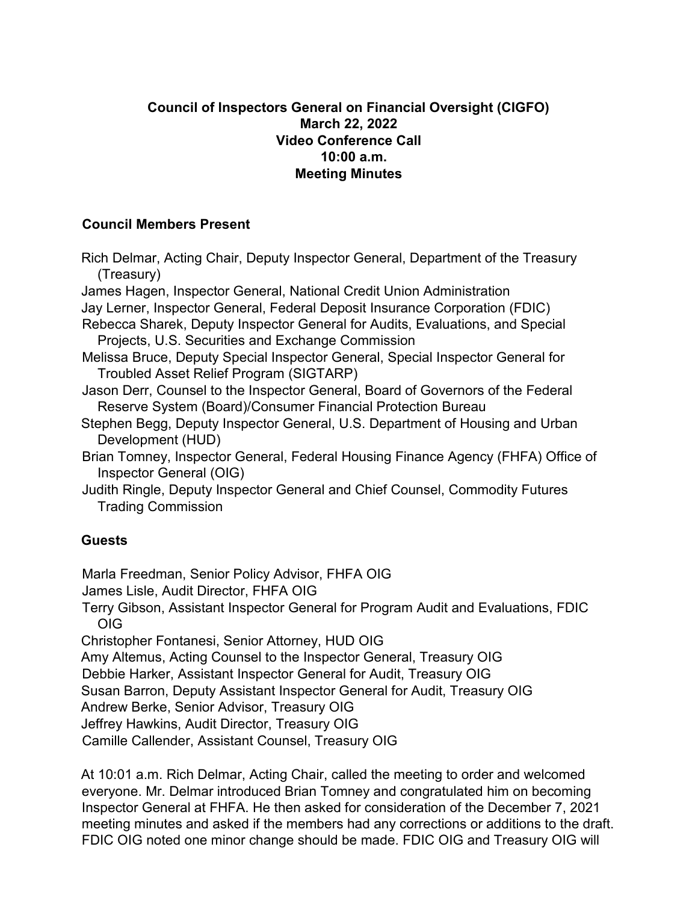## **Council of Inspectors General on Financial Oversight (CIGFO) March 22, 2022 Video Conference Call 10:00 a.m. Meeting Minutes**

## **Council Members Present**

Rich Delmar, Acting Chair, Deputy Inspector General, Department of the Treasury (Treasury) James Hagen, Inspector General, National Credit Union Administration Jay Lerner, Inspector General, Federal Deposit Insurance Corporation (FDIC) Rebecca Sharek, Deputy Inspector General for Audits, Evaluations, and Special Projects, U.S. Securities and Exchange Commission Melissa Bruce, Deputy Special Inspector General, Special Inspector General for Troubled Asset Relief Program (SIGTARP) Jason Derr, Counsel to the Inspector General, Board of Governors of the Federal Reserve System (Board)/Consumer Financial Protection Bureau Stephen Begg, Deputy Inspector General, U.S. Department of Housing and Urban Development (HUD) Brian Tomney, Inspector General, Federal Housing Finance Agency (FHFA) Office of Inspector General (OIG) Judith Ringle, Deputy Inspector General and Chief Counsel, Commodity Futures Trading Commission **Guests**  Marla Freedman, Senior Policy Advisor, FHFA OIG James Lisle, Audit Director, FHFA OIG Terry Gibson, Assistant Inspector General for Program Audit and Evaluations, FDIC OIG Christopher Fontanesi, Senior Attorney, HUD OIG

Amy Altemus, Acting Counsel to the Inspector General, Treasury OIG

Debbie Harker, Assistant Inspector General for Audit, Treasury OIG

Susan Barron, Deputy Assistant Inspector General for Audit, Treasury OIG

Andrew Berke, Senior Advisor, Treasury OIG

Jeffrey Hawkins, Audit Director, Treasury OIG

Camille Callender, Assistant Counsel, Treasury OIG

At 10:01 a.m. Rich Delmar, Acting Chair, called the meeting to order and welcomed everyone. Mr. Delmar introduced Brian Tomney and congratulated him on becoming Inspector General at FHFA. He then asked for consideration of the December 7, 2021 meeting minutes and asked if the members had any corrections or additions to the draft. FDIC OIG noted one minor change should be made. FDIC OIG and Treasury OIG will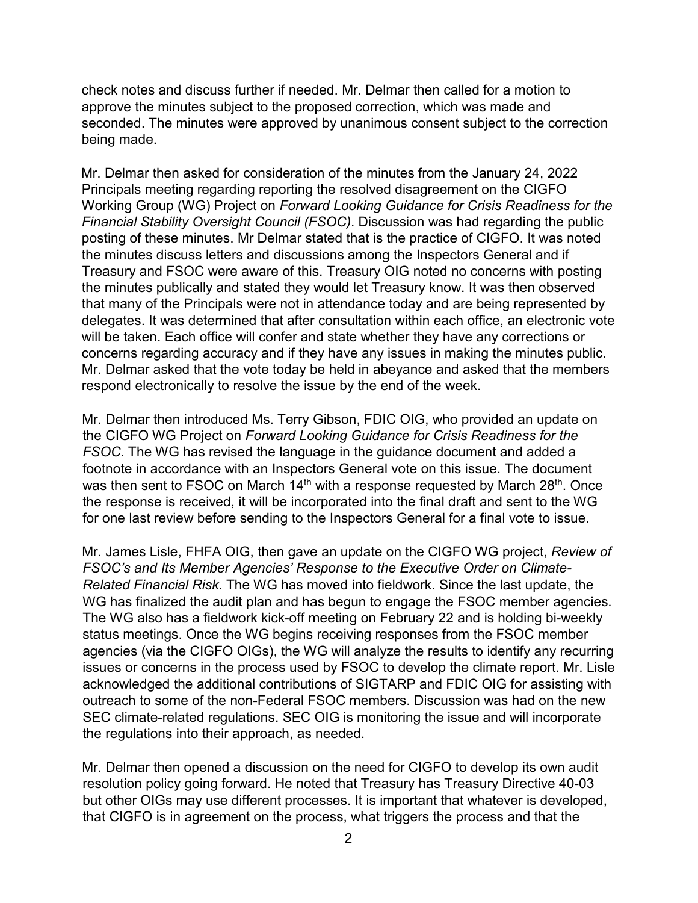check notes and discuss further if needed. Mr. Delmar then called for a motion to approve the minutes subject to the proposed correction, which was made and seconded. The minutes were approved by unanimous consent subject to the correction being made.

Mr. Delmar then asked for consideration of the minutes from the January 24, 2022 Principals meeting regarding reporting the resolved disagreement on the CIGFO Working Group (WG) Project on *Forward Looking Guidance for Crisis Readiness for the Financial Stability Oversight Council (FSOC)*. Discussion was had regarding the public posting of these minutes. Mr Delmar stated that is the practice of CIGFO. It was noted the minutes discuss letters and discussions among the Inspectors General and if Treasury and FSOC were aware of this. Treasury OIG noted no concerns with posting the minutes publically and stated they would let Treasury know. It was then observed that many of the Principals were not in attendance today and are being represented by delegates. It was determined that after consultation within each office, an electronic vote will be taken. Each office will confer and state whether they have any corrections or concerns regarding accuracy and if they have any issues in making the minutes public. Mr. Delmar asked that the vote today be held in abeyance and asked that the members respond electronically to resolve the issue by the end of the week.

Mr. Delmar then introduced Ms. Terry Gibson, FDIC OIG, who provided an update on the CIGFO WG Project on *Forward Looking Guidance for Crisis Readiness for the FSOC*. The WG has revised the language in the guidance document and added a footnote in accordance with an Inspectors General vote on this issue. The document was then sent to FSOC on March 14<sup>th</sup> with a response requested by March 28<sup>th</sup>. Once the response is received, it will be incorporated into the final draft and sent to the WG for one last review before sending to the Inspectors General for a final vote to issue.

Mr. James Lisle, FHFA OIG, then gave an update on the CIGFO WG project, *Review of FSOC's and Its Member Agencies' Response to the Executive Order on Climate-Related Financial Risk*. The WG has moved into fieldwork. Since the last update, the WG has finalized the audit plan and has begun to engage the FSOC member agencies. The WG also has a fieldwork kick-off meeting on February 22 and is holding bi-weekly status meetings. Once the WG begins receiving responses from the FSOC member agencies (via the CIGFO OIGs), the WG will analyze the results to identify any recurring issues or concerns in the process used by FSOC to develop the climate report. Mr. Lisle acknowledged the additional contributions of SIGTARP and FDIC OIG for assisting with outreach to some of the non-Federal FSOC members. Discussion was had on the new SEC climate-related regulations. SEC OIG is monitoring the issue and will incorporate the regulations into their approach, as needed.

Mr. Delmar then opened a discussion on the need for CIGFO to develop its own audit resolution policy going forward. He noted that Treasury has Treasury Directive 40-03 but other OIGs may use different processes. It is important that whatever is developed, that CIGFO is in agreement on the process, what triggers the process and that the